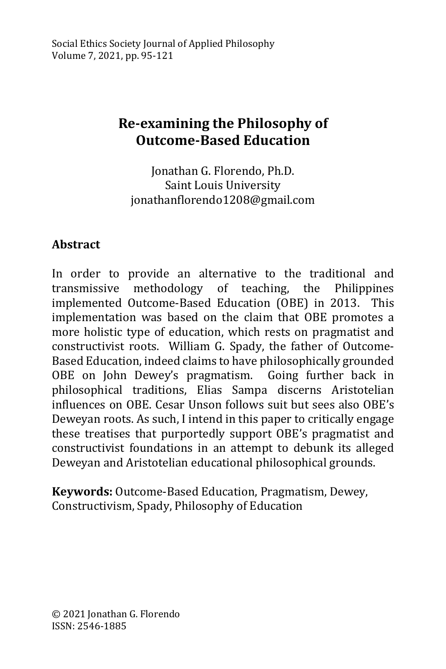# **Re-examining the Philosophy of Outcome-Based Education**

Jonathan G. Florendo, Ph.D. Saint Louis University jonathanflorendo1208@gmail.com

### **Abstract**

In order to provide an alternative to the traditional and transmissive methodology of teaching, the Philippines implemented Outcome-Based Education (OBE) in 2013. This implementation was based on the claim that OBE promotes a more holistic type of education, which rests on pragmatist and constructivist roots. William G. Spady, the father of Outcome-Based Education, indeed claims to have philosophically grounded OBE on John Dewey's pragmatism. Going further back in philosophical traditions, Elias Sampa discerns Aristotelian influences on OBE. Cesar Unson follows suit but sees also OBE's Deweyan roots. As such, I intend in this paper to critically engage these treatises that purportedly support OBE's pragmatist and constructivist foundations in an attempt to debunk its alleged Deweyan and Aristotelian educational philosophical grounds.

**Keywords:** Outcome-Based Education, Pragmatism, Dewey, Constructivism, Spady, Philosophy of Education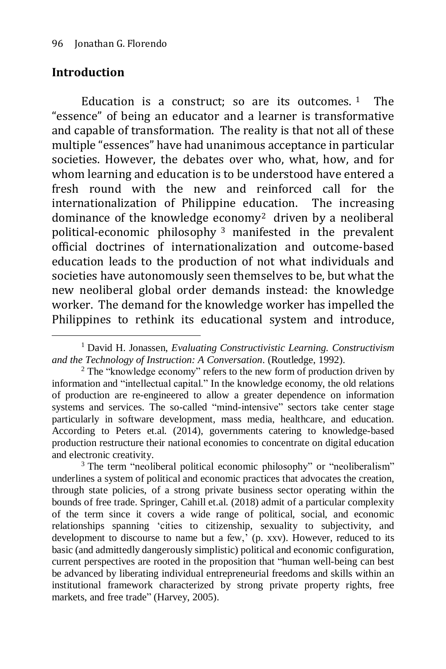#### **Introduction**

<u>.</u>

Education is a construct: so are its outcomes.  $1$  The "essence" of being an educator and a learner is transformative and capable of transformation. The reality is that not all of these multiple "essences" have had unanimous acceptance in particular societies. However, the debates over who, what, how, and for whom learning and education is to be understood have entered a fresh round with the new and reinforced call for the internationalization of Philippine education. The increasing dominance of the knowledge economy<sup>2</sup> driven by a neoliberal political-economic philosophy <sup>3</sup> manifested in the prevalent official doctrines of internationalization and outcome-based education leads to the production of not what individuals and societies have autonomously seen themselves to be, but what the new neoliberal global order demands instead: the knowledge worker. The demand for the knowledge worker has impelled the Philippines to rethink its educational system and introduce,

<sup>3</sup> The term "neoliberal political economic philosophy" or "neoliberalism" underlines a system of political and economic practices that advocates the creation, through state policies, of a strong private business sector operating within the bounds of free trade. Springer, Cahill et.al. (2018) admit of a particular complexity of the term since it covers a wide range of political, social, and economic relationships spanning 'cities to citizenship, sexuality to subjectivity, and development to discourse to name but a few,' (p. xxv). However, reduced to its basic (and admittedly dangerously simplistic) political and economic configuration, current perspectives are rooted in the proposition that "human well-being can best be advanced by liberating individual entrepreneurial freedoms and skills within an institutional framework characterized by strong private property rights, free markets, and free trade" (Harvey, 2005).

<sup>1</sup> David H. Jonassen, *Evaluating Constructivistic Learning. Constructivism and the Technology of Instruction: A Conversation*. (Routledge, 1992).

<sup>&</sup>lt;sup>2</sup> The "knowledge economy" refers to the new form of production driven by information and "intellectual capital." In the knowledge economy, the old relations of production are re-engineered to allow a greater dependence on information systems and services. The so-called "mind-intensive" sectors take center stage particularly in software development, mass media, healthcare, and education. According to Peters et.al. (2014), governments catering to knowledge-based production restructure their national economies to concentrate on digital education and electronic creativity.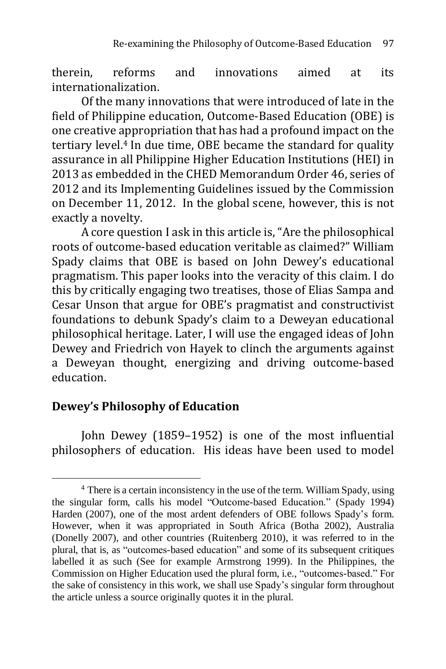therein, reforms and innovations aimed at its internationalization.

Of the many innovations that were introduced of late in the field of Philippine education, Outcome-Based Education (OBE) is one creative appropriation that has had a profound impact on the tertiary level.<sup>4</sup> In due time, OBE became the standard for quality assurance in all Philippine Higher Education Institutions (HEI) in 2013 as embedded in the CHED Memorandum Order 46, series of 2012 and its Implementing Guidelines issued by the Commission on December 11, 2012. In the global scene, however, this is not exactly a novelty.

A core question I ask in this article is, "Are the philosophical roots of outcome-based education veritable as claimed?" William Spady claims that OBE is based on John Dewey's educational pragmatism. This paper looks into the veracity of this claim. I do this by critically engaging two treatises, those of Elias Sampa and Cesar Unson that argue for OBE's pragmatist and constructivist foundations to debunk Spady's claim to a Deweyan educational philosophical heritage. Later, I will use the engaged ideas of John Dewey and Friedrich von Hayek to clinch the arguments against a Deweyan thought, energizing and driving outcome-based education.

#### **Dewey's Philosophy of Education**

<u>.</u>

John Dewey (1859–1952) is one of the most influential philosophers of education. His ideas have been used to model

<sup>4</sup> There is a certain inconsistency in the use of the term. William Spady, using the singular form, calls his model "Outcome-based Education." (Spady 1994) Harden (2007), one of the most ardent defenders of OBE follows Spady's form. However, when it was appropriated in South Africa (Botha 2002), Australia (Donelly 2007), and other countries (Ruitenberg 2010), it was referred to in the plural, that is, as "outcomes-based education" and some of its subsequent critiques labelled it as such (See for example Armstrong 1999). In the Philippines, the Commission on Higher Education used the plural form, i.e., "outcomes-based." For the sake of consistency in this work, we shall use Spady's singular form throughout the article unless a source originally quotes it in the plural.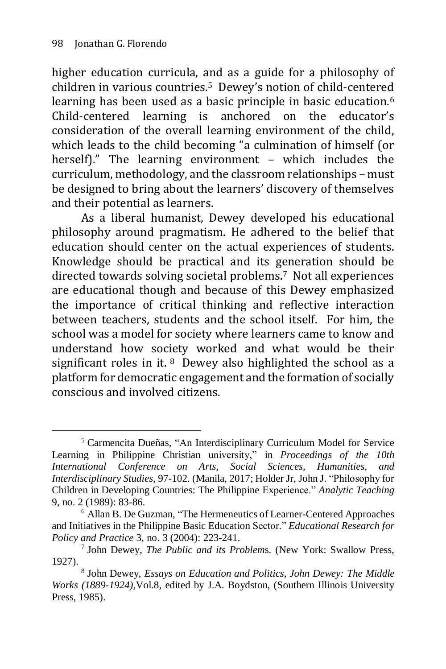1

higher education curricula, and as a guide for a philosophy of children in various countries.<sup>5</sup> Dewey's notion of child-centered learning has been used as a basic principle in basic education.<sup>6</sup> Child-centered learning is anchored on the educator's consideration of the overall learning environment of the child, which leads to the child becoming "a culmination of himself (or herself)." The learning environment – which includes the curriculum, methodology, and the classroom relationships – must be designed to bring about the learners' discovery of themselves and their potential as learners.

As a liberal humanist, Dewey developed his educational philosophy around pragmatism. He adhered to the belief that education should center on the actual experiences of students. Knowledge should be practical and its generation should be directed towards solving societal problems.7 Not all experiences are educational though and because of this Dewey emphasized the importance of critical thinking and reflective interaction between teachers, students and the school itself. For him, the school was a model for society where learners came to know and understand how society worked and what would be their significant roles in it.  $8$  Dewey also highlighted the school as a platform for democratic engagement and the formation of socially conscious and involved citizens.

<sup>5</sup> Carmencita Dueñas, "An Interdisciplinary Curriculum Model for Service Learning in Philippine Christian university," in *Proceedings of the 10th International Conference on Arts, Social Sciences, Humanities, and Interdisciplinary Studies,* 97-102. (Manila, 2017; Holder Jr, John J. "Philosophy for Children in Developing Countries: The Philippine Experience." *Analytic Teaching*  9, no. 2 (1989): 83-86.

<sup>6</sup> Allan B. De Guzman, "The Hermeneutics of Learner-Centered Approaches and Initiatives in the Philippine Basic Education Sector." *Educational Research for Policy and Practice* 3, no. 3 (2004): 223-241.

<sup>7</sup> John Dewey, *The Public and its Problem*s. (New York: Swallow Press, 1927).

<sup>8</sup> John Dewey, *Essays on Education and Politics, John Dewey: The Middle Works (1889-1924)*,Vol.8, edited by J.A. Boydston, (Southern Illinois University Press, 1985).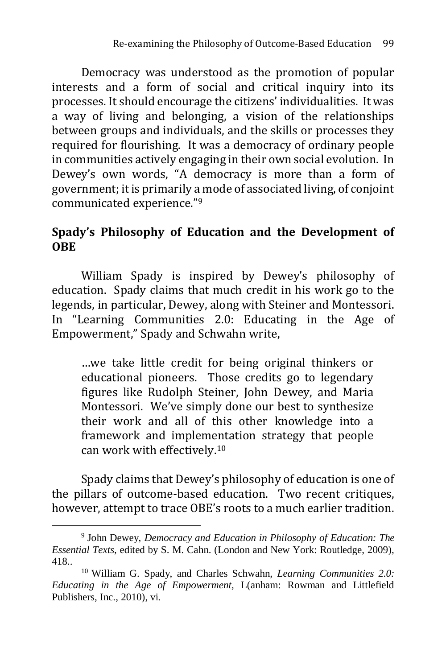Democracy was understood as the promotion of popular interests and a form of social and critical inquiry into its processes. It should encourage the citizens' individualities. It was a way of living and belonging, a vision of the relationships between groups and individuals, and the skills or processes they required for flourishing. It was a democracy of ordinary people in communities actively engaging in their own social evolution. In Dewey's own words, "A democracy is more than a form of government; itis primarily a mode of associated living, of conjoint communicated experience."<sup>9</sup>

#### **Spady's Philosophy of Education and the Development of OBE**

William Spady is inspired by Dewey's philosophy of education. Spady claims that much credit in his work go to the legends, in particular, Dewey, along with Steiner and Montessori. In "Learning Communities 2.0: Educating in the Age of Empowerment," Spady and Schwahn write,

…we take little credit for being original thinkers or educational pioneers. Those credits go to legendary figures like Rudolph Steiner, John Dewey, and Maria Montessori. We've simply done our best to synthesize their work and all of this other knowledge into a framework and implementation strategy that people can work with effectively.<sup>10</sup>

Spady claims that Dewey's philosophy of education is one of the pillars of outcome-based education. Two recent critiques, however, attempt to trace OBE's roots to a much earlier tradition.

<sup>9</sup> John Dewey, *Democracy and Education in Philosophy of Education: The Essential Texts*, edited by S. M. Cahn. (London and New York: Routledge, 2009), 418..

<sup>10</sup> William G. Spady, and Charles Schwahn, *Learning Communities 2.0: Educating in the Age of Empowerment,* L(anham: Rowman and Littlefield Publishers, Inc., 2010), vi.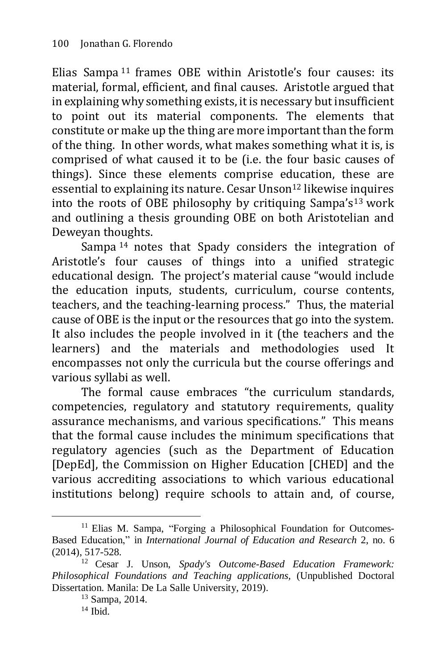Elias Sampa <sup>11</sup> frames OBE within Aristotle's four causes: its material, formal, efficient, and final causes. Aristotle argued that in explaining why something exists, it is necessary but insufficient to point out its material components. The elements that constitute or make up the thing are more important than the form of the thing. In other words, what makes something what it is, is comprised of what caused it to be (i.e. the four basic causes of things). Since these elements comprise education, these are essential to explaining its nature. Cesar Unson<sup>12</sup> likewise inquires into the roots of OBE philosophy by critiquing Sampa's<sup>13</sup> work and outlining a thesis grounding OBE on both Aristotelian and Deweyan thoughts.

Sampa <sup>14</sup> notes that Spady considers the integration of Aristotle's four causes of things into a unified strategic educational design. The project's material cause "would include the education inputs, students, curriculum, course contents, teachers, and the teaching-learning process." Thus, the material cause of OBE is the input or the resources that go into the system. It also includes the people involved in it (the teachers and the learners) and the materials and methodologies used It encompasses not only the curricula but the course offerings and various syllabi as well.

The formal cause embraces "the curriculum standards, competencies, regulatory and statutory requirements, quality assurance mechanisms, and various specifications." This means that the formal cause includes the minimum specifications that regulatory agencies (such as the Department of Education [DepEd], the Commission on Higher Education [CHED] and the various accrediting associations to which various educational institutions belong) require schools to attain and, of course,

<sup>&</sup>lt;sup>11</sup> Elias M. Sampa, "Forging a Philosophical Foundation for Outcomes-Based Education," in *International Journal of Education and Research* 2, no. 6 (2014), 517-528.

<sup>12</sup> Cesar J. Unson, *Spady's Outcome-Based Education Framework: Philosophical Foundations and Teaching applications,* (Unpublished Doctoral Dissertation. Manila: De La Salle University, 2019).

<sup>13</sup> Sampa, 2014.

 $14$  Ibid.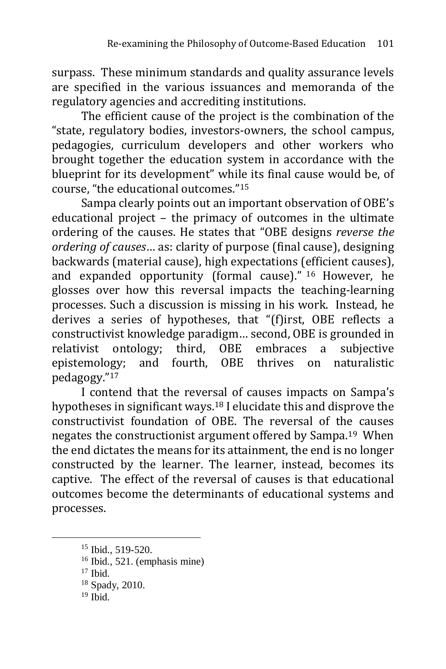surpass. These minimum standards and quality assurance levels are specified in the various issuances and memoranda of the regulatory agencies and accrediting institutions.

The efficient cause of the project is the combination of the "state, regulatory bodies, investors-owners, the school campus, pedagogies, curriculum developers and other workers who brought together the education system in accordance with the blueprint for its development" while its final cause would be, of course, "the educational outcomes."<sup>15</sup>

Sampa clearly points out an important observation of OBE's educational project – the primacy of outcomes in the ultimate ordering of the causes. He states that "OBE designs *reverse the ordering of causes*… as: clarity of purpose (final cause), designing backwards (material cause), high expectations (efficient causes), and expanded opportunity (formal cause)." <sup>16</sup> However, he glosses over how this reversal impacts the teaching-learning processes. Such a discussion is missing in his work. Instead, he derives a series of hypotheses, that "(f)irst, OBE reflects a constructivist knowledge paradigm… second, OBE is grounded in relativist ontology; third, OBE embraces a subjective epistemology; and fourth, OBE thrives on naturalistic pedagogy."<sup>17</sup>

I contend that the reversal of causes impacts on Sampa's hypotheses in significant ways.<sup>18</sup> I elucidate this and disprove the constructivist foundation of OBE. The reversal of the causes negates the constructionist argument offered by Sampa.19 When the end dictates the means for its attainment, the end is no longer constructed by the learner. The learner, instead, becomes its captive. The effect of the reversal of causes is that educational outcomes become the determinants of educational systems and processes.

<sup>&</sup>lt;sup>15</sup> Ibid., 519-520.

<sup>16</sup> Ibid., 521. (emphasis mine)

<sup>17</sup> Ibid.

<sup>18</sup> Spady, 2010.

 $19$  Ibid.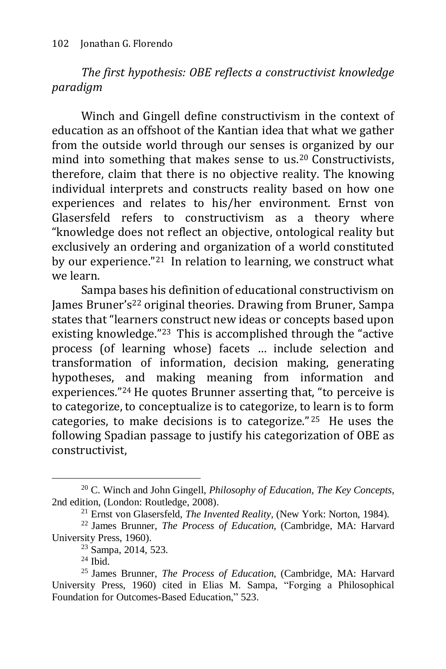*The first hypothesis: OBE reflects a constructivist knowledge paradigm*

Winch and Gingell define constructivism in the context of education as an offshoot of the Kantian idea that what we gather from the outside world through our senses is organized by our mind into something that makes sense to us.<sup>20</sup> Constructivists, therefore, claim that there is no objective reality. The knowing individual interprets and constructs reality based on how one experiences and relates to his/her environment. Ernst von Glasersfeld refers to constructivism as a theory where "knowledge does not reflect an objective, ontological reality but exclusively an ordering and organization of a world constituted by our experience."21 In relation to learning, we construct what we learn.

Sampa bases his definition of educational constructivism on James Bruner's<sup>22</sup> original theories. Drawing from Bruner, Sampa states that "learners construct new ideas or concepts based upon existing knowledge."23 This is accomplished through the "active process (of learning whose) facets … include selection and transformation of information, decision making, generating hypotheses, and making meaning from information and experiences."<sup>24</sup> He quotes Brunner asserting that, "to perceive is to categorize, to conceptualize is to categorize, to learn is to form categories, to make decisions is to categorize." <sup>25</sup> He uses the following Spadian passage to justify his categorization of OBE as constructivist,

<sup>20</sup> C. Winch and John Gingell, *Philosophy of Education, The Key Concepts,*  2nd edition, (London: Routledge, 2008).

<sup>21</sup> Ernst von Glasersfeld, *The Invented Reality,* (New York: Norton, 1984).

<sup>22</sup> James Brunner, *The Process of Education,* (Cambridge, MA: Harvard University Press, 1960).

<sup>23</sup> Sampa, 2014, 523.

<sup>24</sup> Ibid.

<sup>25</sup> James Brunner, *The Process of Education,* (Cambridge, MA: Harvard University Press, 1960) cited in Elias M. Sampa, "Forging a Philosophical Foundation for Outcomes-Based Education," 523.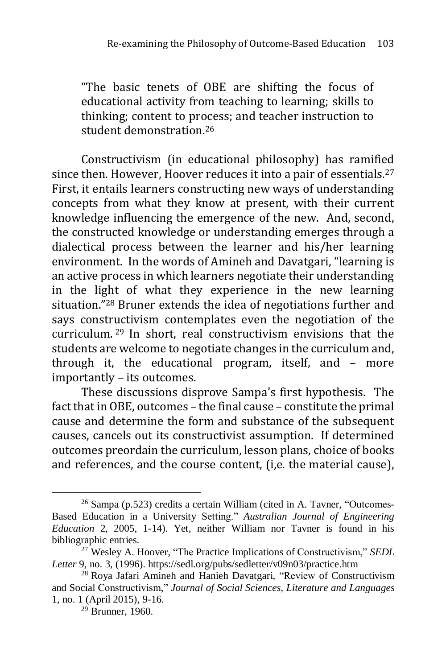"The basic tenets of OBE are shifting the focus of educational activity from teaching to learning; skills to thinking; content to process; and teacher instruction to student demonstration.<sup>26</sup>

Constructivism (in educational philosophy) has ramified since then. However, Hoover reduces it into a pair of essentials.<sup>27</sup> First, it entails learners constructing new ways of understanding concepts from what they know at present, with their current knowledge influencing the emergence of the new. And, second, the constructed knowledge or understanding emerges through a dialectical process between the learner and his/her learning environment. In the words of Amineh and Davatgari, "learning is an active process in which learners negotiate their understanding in the light of what they experience in the new learning situation."<sup>28</sup> Bruner extends the idea of negotiations further and says constructivism contemplates even the negotiation of the curriculum. <sup>29</sup> In short, real constructivism envisions that the students are welcome to negotiate changes in the curriculum and, through it, the educational program, itself, and – more importantly – its outcomes.

These discussions disprove Sampa's first hypothesis. The fact that in OBE, outcomes – the final cause – constitute the primal cause and determine the form and substance of the subsequent causes, cancels out its constructivist assumption. If determined outcomes preordain the curriculum, lesson plans, choice of books and references, and the course content, (i,e. the material cause),

<sup>26</sup> Sampa (p.523) credits a certain William (cited in A. Tavner, "Outcomes-Based Education in a University Setting." *Australian Journal of Engineering Education* 2, 2005, 1-14). Yet, neither William nor Tavner is found in his bibliographic entries.

<sup>27</sup> Wesley A. Hoover, "The Practice Implications of Constructivism," *SEDL Letter* 9, no. 3, (1996). https://sedl.org/pubs/sedletter/v09n03/practice.htm

<sup>&</sup>lt;sup>28</sup> Roya Jafari Amineh and Hanieh Davatgari, "Review of Constructivism and Social Constructivism," *Journal of Social Sciences, Literature and Languages* 1, no. 1 (April 2015), 9-16.

 $29$  Brunner, 1960.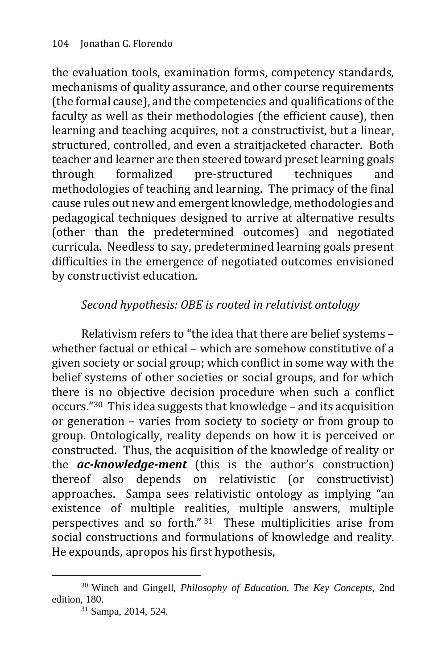the evaluation tools, examination forms, competency standards, mechanisms of quality assurance, and other course requirements (the formal cause), and the competencies and qualifications of the faculty as well as their methodologies (the efficient cause), then learning and teaching acquires, not a constructivist, but a linear, structured, controlled, and even a straitjacketed character. Both teacher and learner are then steered toward preset learning goals through formalized pre-structured techniques and methodologies of teaching and learning. The primacy of the final cause rules out new and emergent knowledge, methodologies and pedagogical techniques designed to arrive at alternative results (other than the predetermined outcomes) and negotiated curricula. Needless to say, predetermined learning goals present difficulties in the emergence of negotiated outcomes envisioned by constructivist education.

# *Second hypothesis: OBE is rooted in relativist ontology*

Relativism refers to "the idea that there are belief systems – whether factual or ethical – which are somehow constitutive of a given society or social group; which conflict in some way with the belief systems of other societies or social groups, and for which there is no objective decision procedure when such a conflict occurs."30 This idea suggests that knowledge – and its acquisition or generation – varies from society to society or from group to group. Ontologically, reality depends on how it is perceived or constructed. Thus, the acquisition of the knowledge of reality or the *ac-knowledge-ment* (this is the author's construction) thereof also depends on relativistic (or constructivist) approaches. Sampa sees relativistic ontology as implying "an existence of multiple realities, multiple answers, multiple perspectives and so forth." <sup>31</sup> These multiplicities arise from social constructions and formulations of knowledge and reality. He expounds, apropos his first hypothesis,

<sup>&</sup>lt;u>.</u> <sup>30</sup> Winch and Gingell, *Philosophy of Education, The Key Concepts,* 2nd edition, 180.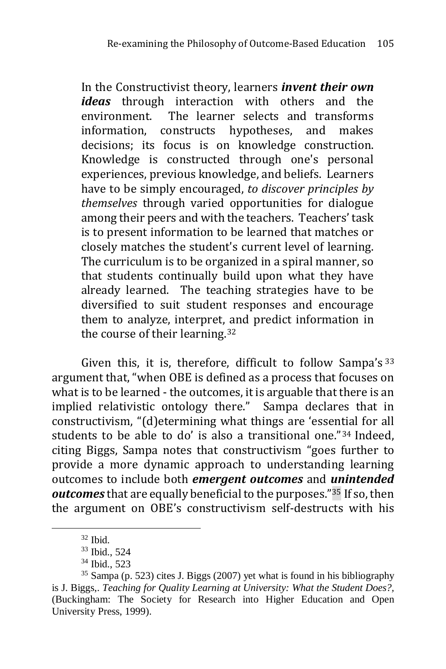In the Constructivist theory, learners *invent their own ideas* through interaction with others and the environment. The learner selects and transforms information, constructs hypotheses, and makes decisions; its focus is on knowledge construction. Knowledge is constructed through one's personal experiences, previous knowledge, and beliefs. Learners have to be simply encouraged, *to discover principles by themselves* through varied opportunities for dialogue among their peers and with the teachers. Teachers' task is to present information to be learned that matches or closely matches the student's current level of learning. The curriculum is to be organized in a spiral manner, so that students continually build upon what they have already learned. The teaching strategies have to be diversified to suit student responses and encourage them to analyze, interpret, and predict information in the course of their learning.<sup>32</sup>

Given this, it is, therefore, difficult to follow Sampa's 33 argument that, "when OBE is defined as a process that focuses on what is to be learned - the outcomes, it is arguable that there is an implied relativistic ontology there." Sampa declares that in constructivism, "(d)etermining what things are 'essential for all students to be able to do' is also a transitional one."<sup>34</sup> Indeed, citing Biggs, Sampa notes that constructivism "goes further to provide a more dynamic approach to understanding learning outcomes to include both *emergent outcomes* and *unintended outcomes* that are equally beneficial to the purposes."<sup>35</sup> If so, then the argument on OBE's constructivism self-destructs with his

<sup>32</sup> Ibid.

<sup>33</sup> Ibid., 524

<sup>34</sup> Ibid., 523

 $35$  Sampa (p. 523) cites J. Biggs (2007) yet what is found in his bibliography is J. Biggs,. *Teaching for Quality Learning at University: What the Student Does?,* (Buckingham: The Society for Research into Higher Education and Open University Press, 1999).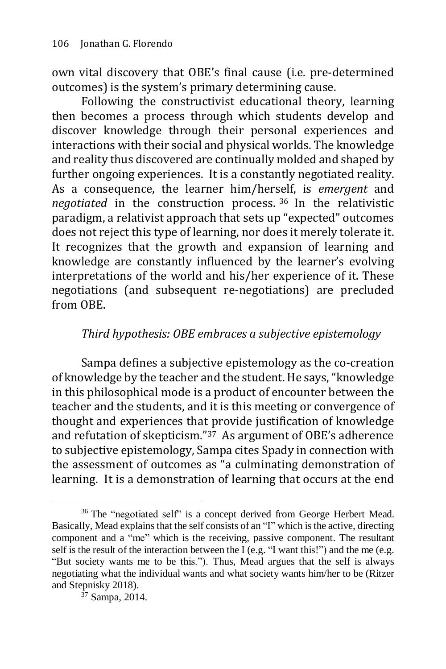own vital discovery that OBE's final cause (i.e. pre-determined outcomes) is the system's primary determining cause.

Following the constructivist educational theory, learning then becomes a process through which students develop and discover knowledge through their personal experiences and interactions with their social and physical worlds. The knowledge and reality thus discovered are continually molded and shaped by further ongoing experiences. It is a constantly negotiated reality. As a consequence, the learner him/herself, is *emergent* and *negotiated* in the construction process. <sup>36</sup> In the relativistic paradigm, a relativist approach that sets up "expected" outcomes does not reject this type of learning, nor does it merely tolerate it. It recognizes that the growth and expansion of learning and knowledge are constantly influenced by the learner's evolving interpretations of the world and his/her experience of it. These negotiations (and subsequent re-negotiations) are precluded from OBE.

### *Third hypothesis: OBE embraces a subjective epistemology*

Sampa defines a subjective epistemology as the co-creation of knowledge by the teacher and the student. He says, "knowledge in this philosophical mode is a product of encounter between the teacher and the students, and it is this meeting or convergence of thought and experiences that provide justification of knowledge and refutation of skepticism."37 As argument of OBE's adherence to subjective epistemology, Sampa cites Spady in connection with the assessment of outcomes as "a culminating demonstration of learning. It is a demonstration of learning that occurs at the end

<sup>&</sup>lt;sup>36</sup> The "negotiated self" is a concept derived from George Herbert Mead. Basically, Mead explains that the self consists of an "I" which is the active, directing component and a "me" which is the receiving, passive component. The resultant self is the result of the interaction between the I (e.g. "I want this!") and the me (e.g. "But society wants me to be this."). Thus, Mead argues that the self is always negotiating what the individual wants and what society wants him/her to be (Ritzer and Stepnisky 2018).

 $37$  Sampa, 2014.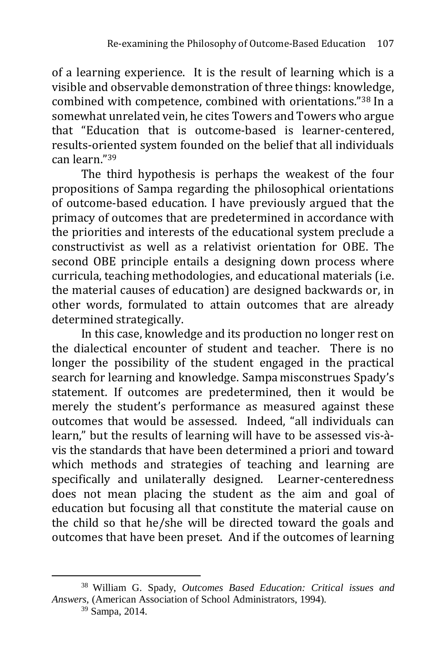of a learning experience. It is the result of learning which is a visible and observable demonstration of three things: knowledge, combined with competence, combined with orientations."<sup>38</sup> In a somewhat unrelated vein, he cites Towers and Towers who argue that "Education that is outcome-based is learner-centered, results-oriented system founded on the belief that all individuals can learn."<sup>39</sup>

The third hypothesis is perhaps the weakest of the four propositions of Sampa regarding the philosophical orientations of outcome-based education. I have previously argued that the primacy of outcomes that are predetermined in accordance with the priorities and interests of the educational system preclude a constructivist as well as a relativist orientation for OBE. The second OBE principle entails a designing down process where curricula, teaching methodologies, and educational materials (i.e. the material causes of education) are designed backwards or, in other words, formulated to attain outcomes that are already determined strategically.

In this case, knowledge and its production no longer rest on the dialectical encounter of student and teacher. There is no longer the possibility of the student engaged in the practical search for learning and knowledge. Sampa misconstrues Spady's statement. If outcomes are predetermined, then it would be merely the student's performance as measured against these outcomes that would be assessed. Indeed, "all individuals can learn," but the results of learning will have to be assessed vis-àvis the standards that have been determined a priori and toward which methods and strategies of teaching and learning are specifically and unilaterally designed. Learner-centeredness does not mean placing the student as the aim and goal of education but focusing all that constitute the material cause on the child so that he/she will be directed toward the goals and outcomes that have been preset. And if the outcomes of learning

<sup>39</sup> Sampa, 2014.

<sup>&</sup>lt;u>.</u> <sup>38</sup> William G. Spady, *Outcomes Based Education: Critical issues and Answers,* (American Association of School Administrators, 1994).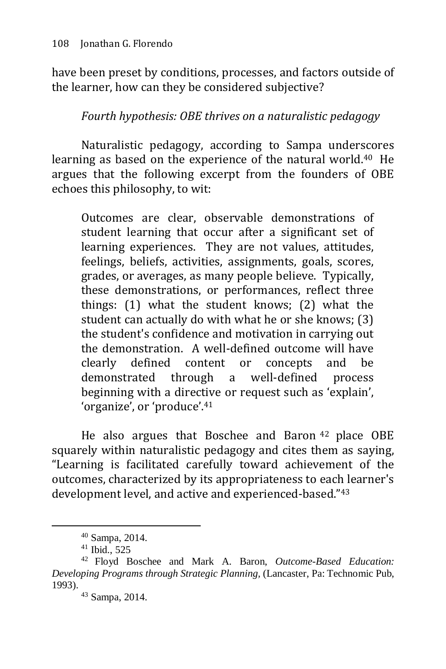have been preset by conditions, processes, and factors outside of the learner, how can they be considered subjective?

## *Fourth hypothesis: OBE thrives on a naturalistic pedagogy*

Naturalistic pedagogy, according to Sampa underscores learning as based on the experience of the natural world.<sup>40</sup> He argues that the following excerpt from the founders of OBE echoes this philosophy, to wit:

Outcomes are clear, observable demonstrations of student learning that occur after a significant set of learning experiences. They are not values, attitudes, feelings, beliefs, activities, assignments, goals, scores, grades, or averages, as many people believe. Typically, these demonstrations, or performances, reflect three things: (1) what the student knows; (2) what the student can actually do with what he or she knows; (3) the student's confidence and motivation in carrying out the demonstration. A well-defined outcome will have clearly defined content or concepts and be demonstrated through a well-defined process beginning with a directive or request such as 'explain', 'organize', or 'produce'.<sup>41</sup>

He also argues that Boschee and Baron <sup>42</sup> place OBE squarely within naturalistic pedagogy and cites them as saying, "Learning is facilitated carefully toward achievement of the outcomes, characterized by its appropriateness to each learner's development level, and active and experienced-based."<sup>43</sup>

<sup>40</sup> Sampa, 2014.

 $41$  Ibid., 525

<sup>42</sup> Floyd Boschee and Mark A. Baron, *Outcome-Based Education: Developing Programs through Strategic Planning,* (Lancaster, Pa: Technomic Pub, 1993).

<sup>43</sup> Sampa, 2014.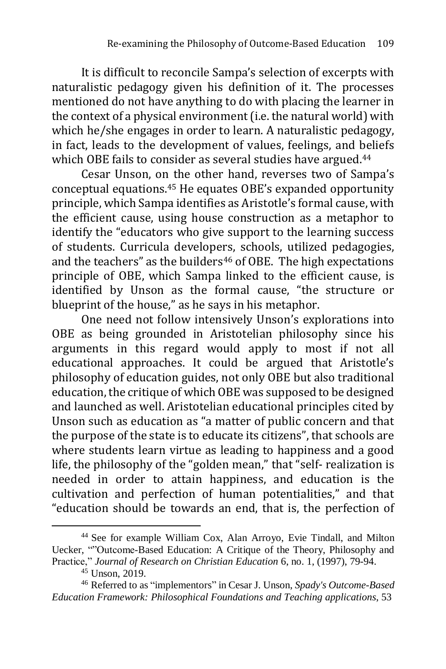It is difficult to reconcile Sampa's selection of excerpts with naturalistic pedagogy given his definition of it. The processes mentioned do not have anything to do with placing the learner in the context of a physical environment (i.e. the natural world) with which he/she engages in order to learn. A naturalistic pedagogy, in fact, leads to the development of values, feelings, and beliefs which OBE fails to consider as several studies have argued.<sup>44</sup>

Cesar Unson, on the other hand, reverses two of Sampa's conceptual equations.<sup>45</sup> He equates OBE's expanded opportunity principle, which Sampa identifies as Aristotle's formal cause, with the efficient cause, using house construction as a metaphor to identify the "educators who give support to the learning success of students. Curricula developers, schools, utilized pedagogies, and the teachers" as the builders $46$  of OBE. The high expectations principle of OBE, which Sampa linked to the efficient cause, is identified by Unson as the formal cause, "the structure or blueprint of the house," as he says in his metaphor.

One need not follow intensively Unson's explorations into OBE as being grounded in Aristotelian philosophy since his arguments in this regard would apply to most if not all educational approaches. It could be argued that Aristotle's philosophy of education guides, not only OBE but also traditional education, the critique of which OBE was supposed to be designed and launched as well. Aristotelian educational principles cited by Unson such as education as "a matter of public concern and that the purpose of the state is to educate its citizens", that schools are where students learn virtue as leading to happiness and a good life, the philosophy of the "golden mean," that "self- realization is needed in order to attain happiness, and education is the cultivation and perfection of human potentialities," and that "education should be towards an end, that is, the perfection of

<sup>44</sup> See for example William Cox, Alan Arroyo, Evie Tindall, and Milton Uecker, ""Outcome-Based Education: A Critique of the Theory, Philosophy and Practice," *Journal of Research on Christian Education* 6, no. 1, (1997), 79-94.

<sup>45</sup> Unson, 2019.

<sup>46</sup> Referred to as "implementors" in Cesar J. Unson, *Spady's Outcome-Based Education Framework: Philosophical Foundations and Teaching applications*, 53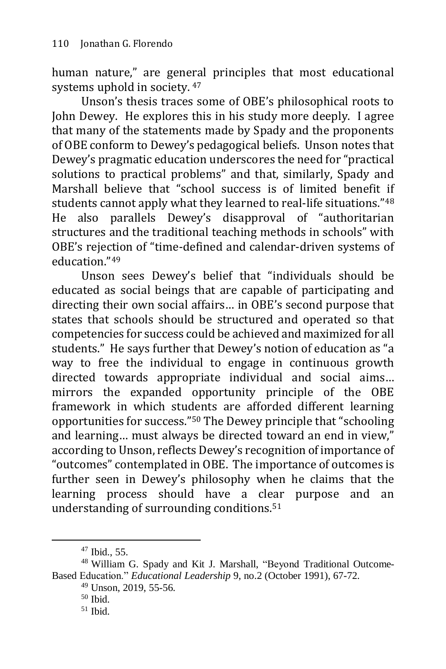human nature," are general principles that most educational systems uphold in society. <sup>47</sup>

Unson's thesis traces some of OBE's philosophical roots to John Dewey. He explores this in his study more deeply. I agree that many of the statements made by Spady and the proponents of OBE conform to Dewey's pedagogical beliefs. Unson notes that Dewey's pragmatic education underscores the need for "practical solutions to practical problems" and that, similarly, Spady and Marshall believe that "school success is of limited benefit if students cannot apply what they learned to real-life situations."<sup>48</sup> He also parallels Dewey's disapproval of "authoritarian structures and the traditional teaching methods in schools" with OBE's rejection of "time-defined and calendar-driven systems of education."<sup>49</sup>

Unson sees Dewey's belief that "individuals should be educated as social beings that are capable of participating and directing their own social affairs… in OBE's second purpose that states that schools should be structured and operated so that competencies for success could be achieved and maximized for all students." He says further that Dewey's notion of education as "a way to free the individual to engage in continuous growth directed towards appropriate individual and social aims… mirrors the expanded opportunity principle of the OBE framework in which students are afforded different learning opportunities for success."<sup>50</sup> The Dewey principle that "schooling and learning… must always be directed toward an end in view," according to Unson, reflects Dewey's recognition of importance of "outcomes" contemplated in OBE. The importance of outcomes is further seen in Dewey's philosophy when he claims that the learning process should have a clear purpose and an understanding of surrounding conditions.<sup>51</sup>

 $47$  Ibid., 55.

<sup>48</sup> William G. Spady and Kit J. Marshall, "Beyond Traditional Outcome-Based Education." *Educational Leadership* 9, no.2 (October 1991), 67-72.

 $49$  Unson, 2019, 55-56.

<sup>50</sup> Ibid.

<sup>51</sup> Ibid.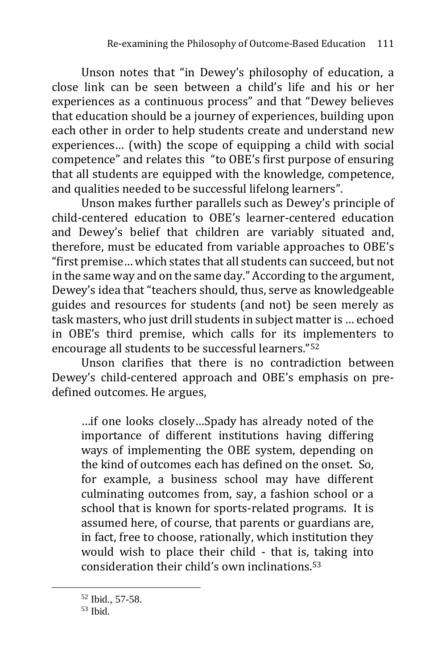Unson notes that "in Dewey's philosophy of education, a close link can be seen between a child's life and his or her experiences as a continuous process" and that "Dewey believes that education should be a journey of experiences, building upon each other in order to help students create and understand new experiences… (with) the scope of equipping a child with social competence" and relates this "to OBE's first purpose of ensuring that all students are equipped with the knowledge, competence, and qualities needed to be successful lifelong learners".

Unson makes further parallels such as Dewey's principle of child-centered education to OBE's learner-centered education and Dewey's belief that children are variably situated and, therefore, must be educated from variable approaches to OBE's "first premise… which states that all students can succeed, but not in the same way and on the same day." According to the argument, Dewey's idea that "teachers should, thus, serve as knowledgeable guides and resources for students (and not) be seen merely as task masters, who just drill students in subject matter is … echoed in OBE's third premise, which calls for its implementers to encourage all students to be successful learners."<sup>52</sup>

Unson clarifies that there is no contradiction between Dewey's child-centered approach and OBE's emphasis on predefined outcomes. He argues,

…if one looks closely…Spady has already noted of the importance of different institutions having differing ways of implementing the OBE system, depending on the kind of outcomes each has defined on the onset. So, for example, a business school may have different culminating outcomes from, say, a fashion school or a school that is known for sports-related programs. It is assumed here, of course, that parents or guardians are, in fact, free to choose, rationally, which institution they would wish to place their child - that is, taking into consideration their child's own inclinations.<sup>53</sup>

<sup>52</sup> Ibid., 57-58.

<sup>53</sup> Ibid.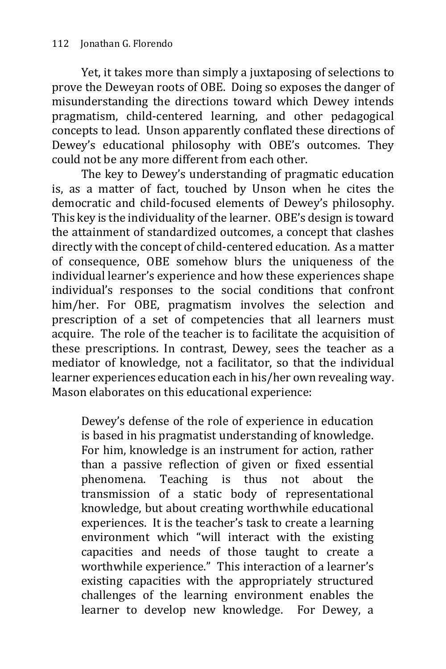Yet, it takes more than simply a juxtaposing of selections to prove the Deweyan roots of OBE. Doing so exposes the danger of misunderstanding the directions toward which Dewey intends pragmatism, child-centered learning, and other pedagogical concepts to lead. Unson apparently conflated these directions of Dewey's educational philosophy with OBE's outcomes. They could not be any more different from each other.

The key to Dewey's understanding of pragmatic education is, as a matter of fact, touched by Unson when he cites the democratic and child-focused elements of Dewey's philosophy. This key is the individuality of the learner. OBE's design is toward the attainment of standardized outcomes, a concept that clashes directly with the concept of child-centered education. As a matter of consequence, OBE somehow blurs the uniqueness of the individual learner's experience and how these experiences shape individual's responses to the social conditions that confront him/her. For OBE, pragmatism involves the selection and prescription of a set of competencies that all learners must acquire. The role of the teacher is to facilitate the acquisition of these prescriptions. In contrast, Dewey, sees the teacher as a mediator of knowledge, not a facilitator, so that the individual learner experiences education each in his/her own revealing way. Mason elaborates on this educational experience:

Dewey's defense of the role of experience in education is based in his pragmatist understanding of knowledge. For him, knowledge is an instrument for action, rather than a passive reflection of given or fixed essential phenomena. Teaching is thus not about the transmission of a static body of representational knowledge, but about creating worthwhile educational experiences. It is the teacher's task to create a learning environment which "will interact with the existing capacities and needs of those taught to create a worthwhile experience." This interaction of a learner's existing capacities with the appropriately structured challenges of the learning environment enables the learner to develop new knowledge. For Dewey, a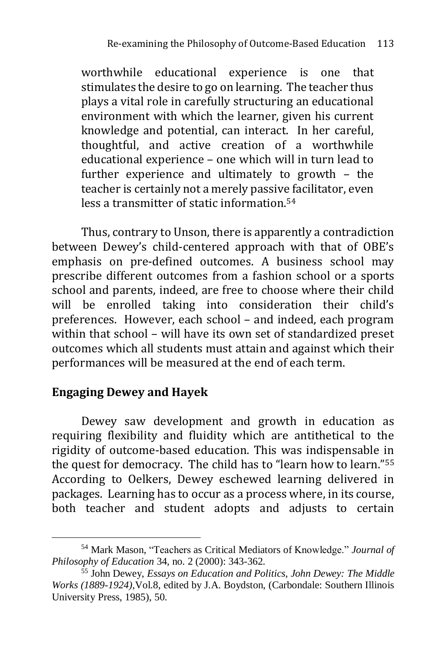worthwhile educational experience is one that stimulates the desire to go on learning. The teacher thus plays a vital role in carefully structuring an educational environment with which the learner, given his current knowledge and potential, can interact. In her careful, thoughtful, and active creation of a worthwhile educational experience – one which will in turn lead to further experience and ultimately to growth – the teacher is certainly not a merely passive facilitator, even less a transmitter of static information.<sup>54</sup>

Thus, contrary to Unson, there is apparently a contradiction between Dewey's child-centered approach with that of OBE's emphasis on pre-defined outcomes. A business school may prescribe different outcomes from a fashion school or a sports school and parents, indeed, are free to choose where their child will be enrolled taking into consideration their child's preferences. However, each school – and indeed, each program within that school – will have its own set of standardized preset outcomes which all students must attain and against which their performances will be measured at the end of each term.

## **Engaging Dewey and Hayek**

1

Dewey saw development and growth in education as requiring flexibility and fluidity which are antithetical to the rigidity of outcome-based education. This was indispensable in the quest for democracy. The child has to "learn how to learn."<sup>55</sup> According to Oelkers, Dewey eschewed learning delivered in packages. Learning has to occur as a process where, in its course, both teacher and student adopts and adjusts to certain

<sup>54</sup> Mark Mason, "Teachers as Critical Mediators of Knowledge." *Journal of Philosophy of Education* 34, no. 2 (2000): 343-362.

<sup>55</sup> John Dewey, *Essays on Education and Politics, John Dewey: The Middle Works (1889-1924),*Vol.8, edited by J.A. Boydston, (Carbondale: Southern Illinois University Press, 1985), 50.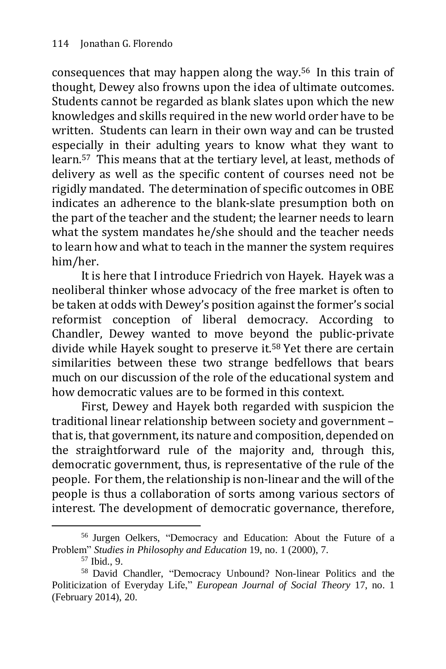consequences that may happen along the way.56 In this train of thought, Dewey also frowns upon the idea of ultimate outcomes. Students cannot be regarded as blank slates upon which the new knowledges and skills required in the new world order have to be written. Students can learn in their own way and can be trusted especially in their adulting years to know what they want to learn.57 This means that at the tertiary level, at least, methods of delivery as well as the specific content of courses need not be rigidly mandated. The determination of specific outcomes in OBE indicates an adherence to the blank-slate presumption both on the part of the teacher and the student; the learner needs to learn what the system mandates he/she should and the teacher needs to learn how and what to teach in the manner the system requires him/her.

It is here that I introduce Friedrich von Hayek. Hayek was a neoliberal thinker whose advocacy of the free market is often to be taken at odds with Dewey's position against the former's social reformist conception of liberal democracy. According to Chandler, Dewey wanted to move beyond the public-private divide while Hayek sought to preserve it.<sup>58</sup> Yet there are certain similarities between these two strange bedfellows that bears much on our discussion of the role of the educational system and how democratic values are to be formed in this context.

First, Dewey and Hayek both regarded with suspicion the traditional linear relationship between society and government – that is, that government, its nature and composition, depended on the straightforward rule of the majority and, through this, democratic government, thus, is representative of the rule of the people. For them, the relationship is non-linear and the will of the people is thus a collaboration of sorts among various sectors of interest. The development of democratic governance, therefore,

<sup>56</sup> Jurgen Oelkers, "Democracy and Education: About the Future of a Problem" *Studies in Philosophy and Education* 19, no. 1 (2000), 7.

<sup>57</sup> Ibid., 9.

<sup>58</sup> David Chandler, "Democracy Unbound? Non-linear Politics and the Politicization of Everyday Life," *European Journal of Social Theory* 17, no. 1 (February 2014), 20.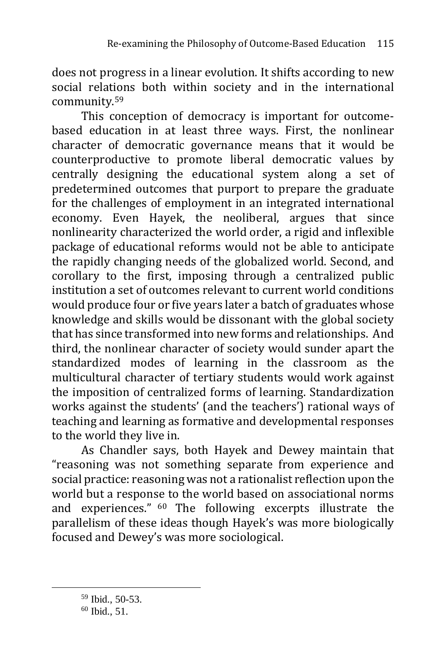does not progress in a linear evolution. It shifts according to new social relations both within society and in the international community.<sup>59</sup>

This conception of democracy is important for outcomebased education in at least three ways. First, the nonlinear character of democratic governance means that it would be counterproductive to promote liberal democratic values by centrally designing the educational system along a set of predetermined outcomes that purport to prepare the graduate for the challenges of employment in an integrated international economy. Even Hayek, the neoliberal, argues that since nonlinearity characterized the world order, a rigid and inflexible package of educational reforms would not be able to anticipate the rapidly changing needs of the globalized world. Second, and corollary to the first, imposing through a centralized public institution a set of outcomes relevant to current world conditions would produce four or five years later a batch of graduates whose knowledge and skills would be dissonant with the global society that has since transformed into new forms and relationships. And third, the nonlinear character of society would sunder apart the standardized modes of learning in the classroom as the multicultural character of tertiary students would work against the imposition of centralized forms of learning. Standardization works against the students' (and the teachers') rational ways of teaching and learning as formative and developmental responses to the world they live in.

As Chandler says, both Hayek and Dewey maintain that "reasoning was not something separate from experience and social practice: reasoning was not a rationalist reflection upon the world but a response to the world based on associational norms and experiences." <sup>60</sup> The following excerpts illustrate the parallelism of these ideas though Hayek's was more biologically focused and Dewey's was more sociological.

<sup>59</sup> Ibid., 50-53.

<sup>60</sup> Ibid., 51.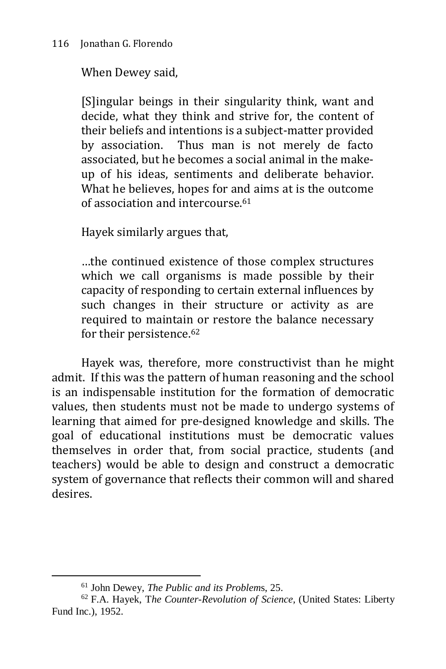When Dewey said,

[S]ingular beings in their singularity think, want and decide, what they think and strive for, the content of their beliefs and intentions is a subject-matter provided by association. Thus man is not merely de facto associated, but he becomes a social animal in the makeup of his ideas, sentiments and deliberate behavior. What he believes, hopes for and aims at is the outcome of association and intercourse.<sup>61</sup>

Hayek similarly argues that,

…the continued existence of those complex structures which we call organisms is made possible by their capacity of responding to certain external influences by such changes in their structure or activity as are required to maintain or restore the balance necessary for their persistence.<sup>62</sup>

Hayek was, therefore, more constructivist than he might admit. If this was the pattern of human reasoning and the school is an indispensable institution for the formation of democratic values, then students must not be made to undergo systems of learning that aimed for pre-designed knowledge and skills. The goal of educational institutions must be democratic values themselves in order that, from social practice, students (and teachers) would be able to design and construct a democratic system of governance that reflects their common will and shared desires.

<sup>61</sup> John Dewey, *The Public and its Problem*s, 25.

<sup>62</sup> F.A. Hayek, T*he Counter-Revolution of Science,* (United States: Liberty Fund Inc.), 1952.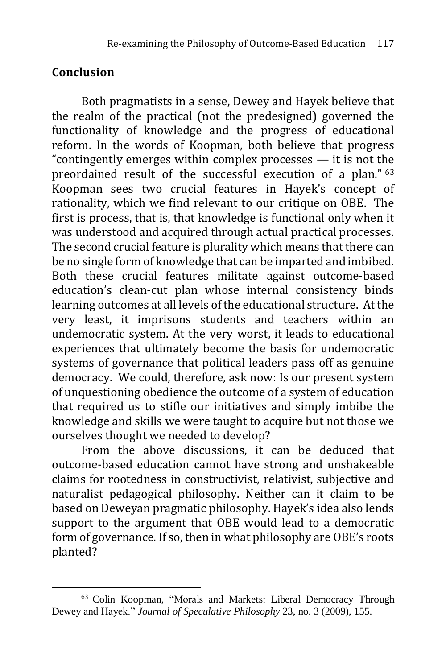# **Conclusion**

1

Both pragmatists in a sense, Dewey and Hayek believe that the realm of the practical (not the predesigned) governed the functionality of knowledge and the progress of educational reform. In the words of Koopman, both believe that progress "contingently emerges within complex processes — it is not the preordained result of the successful execution of a plan." <sup>63</sup> Koopman sees two crucial features in Hayek's concept of rationality, which we find relevant to our critique on OBE. The first is process, that is, that knowledge is functional only when it was understood and acquired through actual practical processes. The second crucial feature is plurality which means that there can be no single form of knowledge that can be imparted and imbibed. Both these crucial features militate against outcome-based education's clean-cut plan whose internal consistency binds learning outcomes at all levels of the educational structure. At the very least, it imprisons students and teachers within an undemocratic system. At the very worst, it leads to educational experiences that ultimately become the basis for undemocratic systems of governance that political leaders pass off as genuine democracy. We could, therefore, ask now: Is our present system of unquestioning obedience the outcome of a system of education that required us to stifle our initiatives and simply imbibe the knowledge and skills we were taught to acquire but not those we ourselves thought we needed to develop?

From the above discussions, it can be deduced that outcome-based education cannot have strong and unshakeable claims for rootedness in constructivist, relativist, subjective and naturalist pedagogical philosophy. Neither can it claim to be based on Deweyan pragmatic philosophy. Hayek's idea also lends support to the argument that OBE would lead to a democratic form of governance. If so, then in what philosophy are OBE's roots planted?

<sup>63</sup> Colin Koopman, "Morals and Markets: Liberal Democracy Through Dewey and Hayek." *Journal of Speculative Philosophy* 23, no. 3 (2009), 155.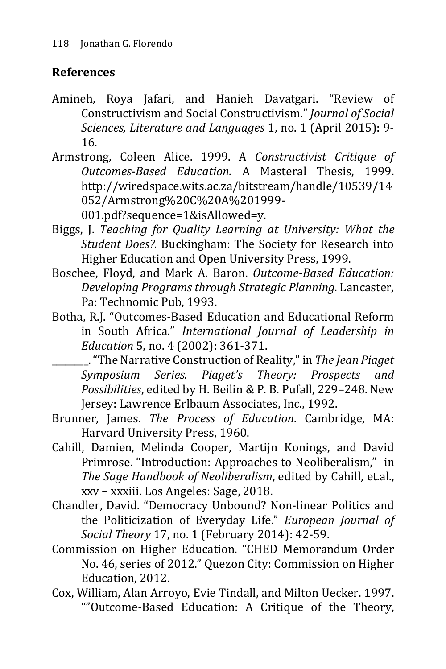# **References**

- Amineh, Roya Jafari, and Hanieh Davatgari. "Review of Constructivism and Social Constructivism." *Journal of Social Sciences, Literature and Languages* 1, no. 1 (April 2015): 9- 16.
- Armstrong, Coleen Alice. 1999. A *Constructivist Critique of Outcomes-Based Education.* A Masteral Thesis, 1999. http://wiredspace.wits.ac.za/bitstream/handle/10539/14 052/Armstrong%20C%20A%201999-

001.pdf?sequence=1&isAllowed=y.

- Biggs, J. *Teaching for Quality Learning at University: What the Student Does?.* Buckingham: The Society for Research into Higher Education and Open University Press, 1999.
- Boschee, Floyd, and Mark A. Baron. *Outcome-Based Education: Developing Programs through Strategic Planning*. Lancaster, Pa: Technomic Pub, 1993.
- Botha, R.J. "Outcomes-Based Education and Educational Reform in South Africa." *International Journal of Leadership in Education* 5, no. 4 (2002): 361-371.
	- \_\_\_\_\_\_\_\_."TheNarrative Construction of Reality,"in *The Jean Piaget Symposium Series. Piaget's Theory: Prospects and Possibilities*, edited by H. Beilin & P. B. Pufall, 229–248. New Jersey: Lawrence Erlbaum Associates, Inc., 1992.
- Brunner, James. *The Process of Education*. Cambridge, MA: Harvard University Press, 1960.
- Cahill, Damien, Melinda Cooper, Martijn Konings, and David Primrose. "Introduction: Approaches to Neoliberalism," in *The Sage Handbook of Neoliberalism*, edited by Cahill, et.al., xxv – xxxiii. Los Angeles: Sage, 2018.
- Chandler, David. "Democracy Unbound? Non-linear Politics and the Politicization of Everyday Life." *European Journal of Social Theory* 17, no. 1 (February 2014): 42-59.
- Commission on Higher Education. "CHED Memorandum Order No. 46, series of 2012." Quezon City: Commission on Higher Education, 2012.
- Cox, William, Alan Arroyo, Evie Tindall, and Milton Uecker. 1997. ""Outcome-Based Education: A Critique of the Theory,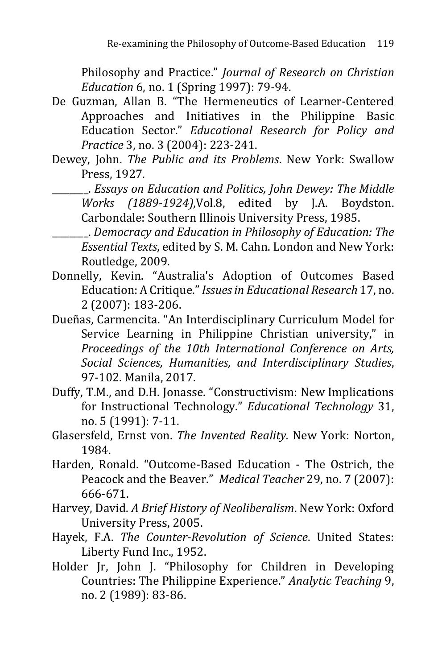Philosophy and Practice." *Journal of Research on Christian Education* 6, no. 1 (Spring 1997): 79-94.

- De Guzman, Allan B. "The Hermeneutics of Learner-Centered Approaches and Initiatives in the Philippine Basic Education Sector." *Educational Research for Policy and Practice* 3, no. 3 (2004): 223-241.
- Dewey, John. *The Public and its Problems*. New York: Swallow Press, 1927.
	- \_\_\_\_\_\_\_\_. *Essays on Education and Politics, John Dewey: The Middle Works (1889-1924)*,Vol.8, edited by J.A. Boydston. Carbondale: Southern Illinois University Press, 1985.
		- \_\_\_\_\_\_\_\_. *Democracy and Education in Philosophy of Education: The Essential Texts*, edited by S. M. Cahn. London and New York: Routledge, 2009.
- Donnelly, Kevin. "Australia's Adoption of Outcomes Based Education: A Critique."*Issuesin Educational Research* 17, no. 2 (2007): 183-206.
- Dueñas, Carmencita. "An Interdisciplinary Curriculum Model for Service Learning in Philippine Christian university," in *Proceedings of the 10th International Conference on Arts, Social Sciences, Humanities, and Interdisciplinary Studies*, 97-102. Manila, 2017.
- Duffy, T.M., and D.H. Jonasse. "Constructivism: New Implications for Instructional Technology." *Educational Technology* 31, no. 5 (1991): 7-11.
- Glasersfeld, Ernst von. *The Invented Reality.* New York: Norton, 1984.
- Harden, Ronald. "Outcome-Based Education The Ostrich, the Peacock and the Beaver." *Medical Teacher* 29, no. 7 (2007): 666-671.
- Harvey, David. *A Brief History of Neoliberalism*. New York: Oxford University Press, 2005.
- Hayek, F.A. *The Counter-Revolution of Science*. United States: Liberty Fund Inc., 1952.
- Holder Jr, John J. "Philosophy for Children in Developing Countries: The Philippine Experience." *Analytic Teaching* 9, no. 2 (1989): 83-86.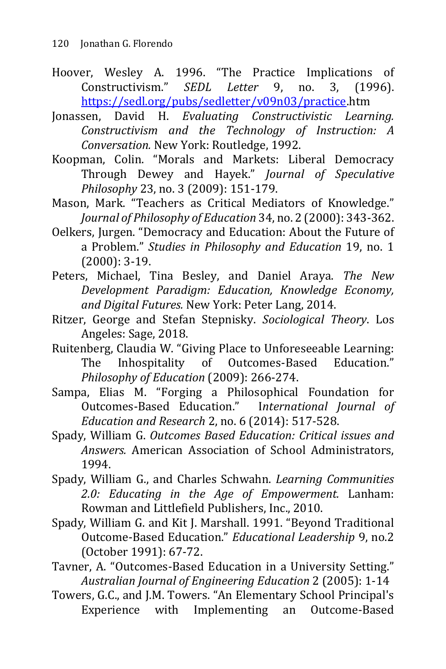- Hoover, Wesley A. 1996. "The Practice Implications of Constructivism." *SEDL Letter* 9, no. 3, (1996). [https://sedl.org/pubs/sedletter/v09n03/practice.](https://sedl.org/pubs/sedletter/v09n03/practice)htm
- Jonassen, David H. *Evaluating Constructivistic Learning. Constructivism and the Technology of Instruction: A Conversation.* New York: Routledge, 1992.
- Koopman, Colin. "Morals and Markets: Liberal Democracy Through Dewey and Hayek." *Journal of Speculative Philosophy* 23, no. 3 (2009): 151-179.
- Mason, Mark. "Teachers as Critical Mediators of Knowledge." *Journal of Philosophy of Education* 34, no. 2 (2000): 343-362.
- Oelkers, Jurgen. "Democracy and Education: About the Future of a Problem." *Studies in Philosophy and Education* 19, no. 1 (2000): 3-19.
- Peters, Michael, Tina Besley, and Daniel Araya. *The New Development Paradigm: Education, Knowledge Economy, and Digital Futures.* New York: Peter Lang, 2014.
- Ritzer, George and Stefan Stepnisky. *Sociological Theory*. Los Angeles: Sage, 2018.
- Ruitenberg, Claudia W. "Giving Place to Unforeseeable Learning: The Inhospitality of Outcomes-Based Education." *Philosophy of Education* (2009): 266-274.
- Sampa, Elias M. "Forging a Philosophical Foundation for Outcomes-Based Education." I*nternational Journal of Education and Research* 2, no. 6 (2014): 517-528.
- Spady, William G. *Outcomes Based Education: Critical issues and Answers.* American Association of School Administrators, 1994.
- Spady, William G., and Charles Schwahn. *Learning Communities 2.0: Educating in the Age of Empowerment.* Lanham: Rowman and Littlefield Publishers, Inc., 2010.
- Spady, William G. and Kit J. Marshall. 1991. "Beyond Traditional Outcome-Based Education." *Educational Leadership* 9, no.2 (October 1991): 67-72.

Tavner, A. "Outcomes-Based Education in a University Setting." *Australian Journal of Engineering Education* 2 (2005): 1-14

Towers, G.C., and J.M. Towers. "An Elementary School Principal's Experience with Implementing an Outcome-Based